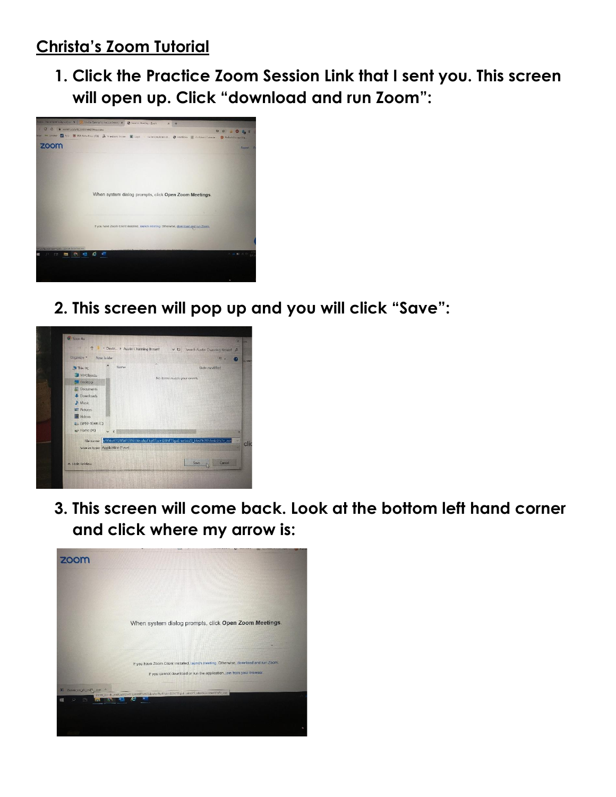## **Christa's Zoom Tutorial**

**1. Click the Practice Zoom Session Link that I sent you. This screen will open up. Click "download and run Zoom":**



**2. This screen will pop up and you will click "Save":**



**3. This screen will come back. Look at the bottom left hand corner and click where my arrow is:**

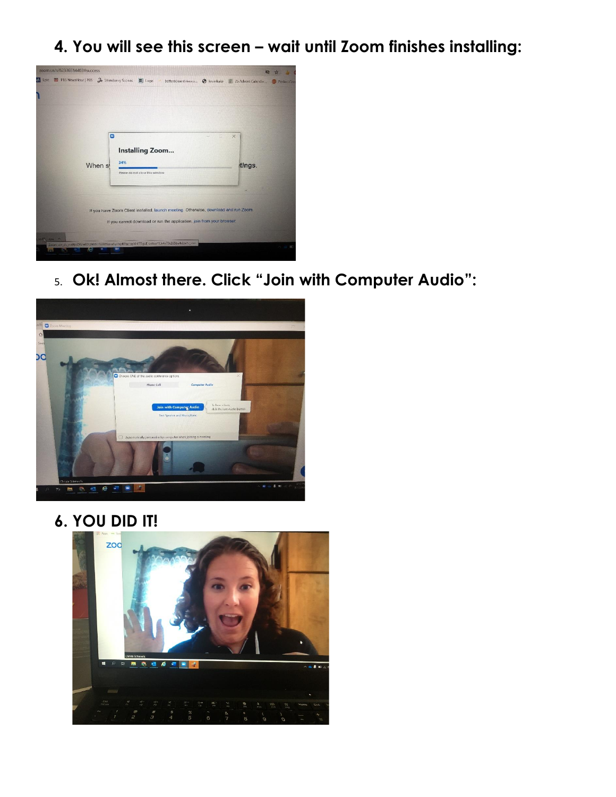**4. You will see this screen – wait until Zoom finishes installing:**



5. **Ok! Almost there. Click "Join with Computer Audio":**



**6. YOU DID IT!**

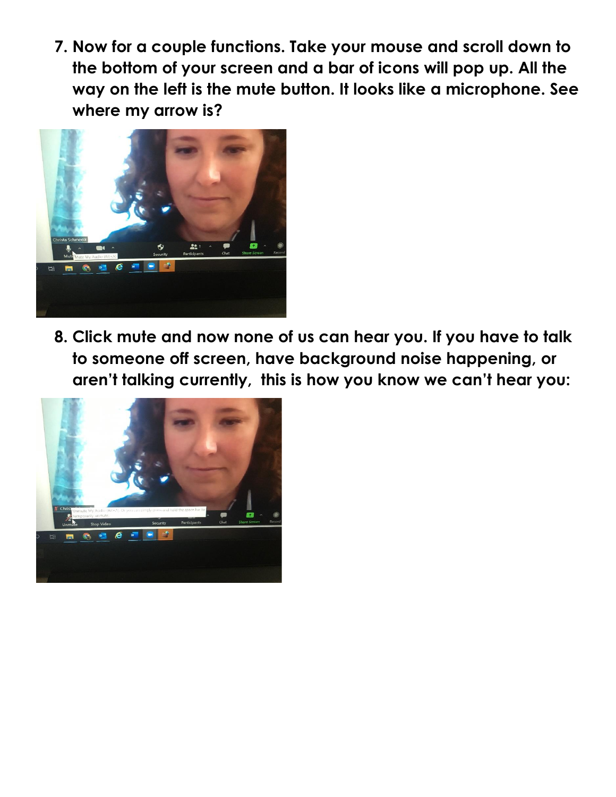**7. Now for a couple functions. Take your mouse and scroll down to the bottom of your screen and a bar of icons will pop up. All the way on the left is the mute button. It looks like a microphone. See where my arrow is?**



**8. Click mute and now none of us can hear you. If you have to talk to someone off screen, have background noise happening, or aren't talking currently, this is how you know we can't hear you:**

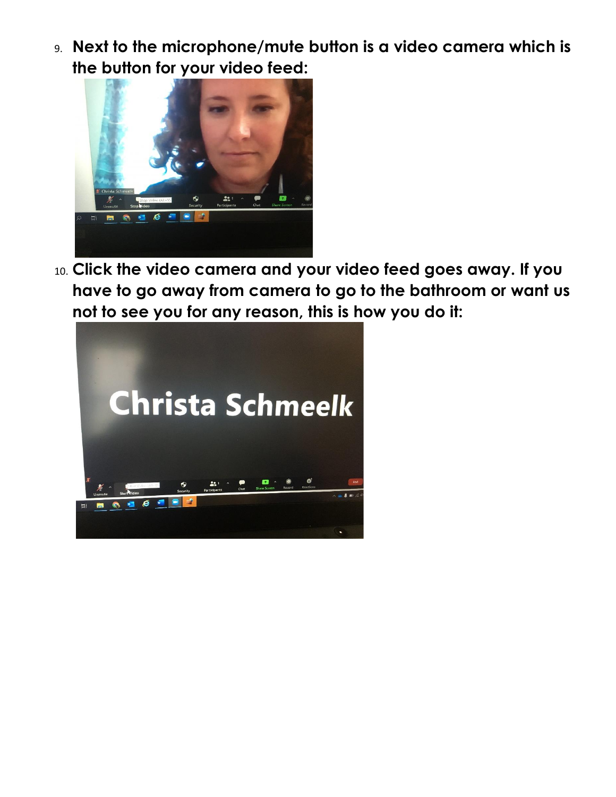9. **Next to the microphone/mute button is a video camera which is the button for your video feed:**



10. **Click the video camera and your video feed goes away. If you have to go away from camera to go to the bathroom or want us not to see you for any reason, this is how you do it:**